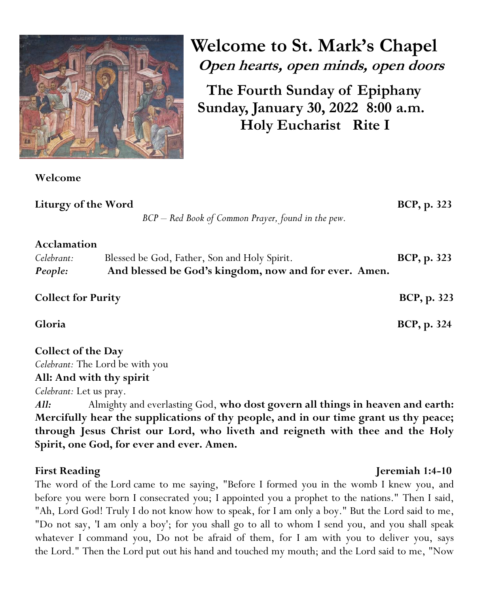

**Welcome** 

**Welcome to St. Mark's Chapel Open hearts, open minds, open doors**

**The Fourth Sunday of Epiphany Sunday, January 30, 2022 8:00 a.m. Holy Eucharist Rite I**

| Liturgy of the Word                                          | BCP – Red Book of Common Prayer, found in the pew.                                                    | BCP, p. 323         |
|--------------------------------------------------------------|-------------------------------------------------------------------------------------------------------|---------------------|
| Acclamation<br>Celebrant:<br>People:                         | Blessed be God, Father, Son and Holy Spirit.<br>And blessed be God's kingdom, now and for ever. Amen. | <b>BCP</b> , p. 323 |
| <b>Collect for Purity</b>                                    |                                                                                                       | BCP, p. 323         |
| Gloria                                                       |                                                                                                       | BCP, p. 324         |
| <b>Collect of the Day</b><br>Celebrant: The Lord be with you |                                                                                                       |                     |

**All: And with thy spirit**

*Celebrant:* Let us pray.

*All:*Almighty and everlasting God, **who dost govern all things in heaven and earth: Mercifully hear the supplications of thy people, and in our time grant us thy peace; through Jesus Christ our Lord, who liveth and reigneth with thee and the Holy Spirit, one God, for ever and ever. Amen.**

**First Reading Jeremiah 1:4-10**

The word of the Lord came to me saying, "Before I formed you in the womb I knew you, and before you were born I consecrated you; I appointed you a prophet to the nations." Then I said, "Ah, Lord God! Truly I do not know how to speak, for I am only a boy." But the Lord said to me, "Do not say, 'I am only a boy'; for you shall go to all to whom I send you, and you shall speak whatever I command you, Do not be afraid of them, for I am with you to deliver you, says the Lord." Then the Lord put out his hand and touched my mouth; and the Lord said to me, "Now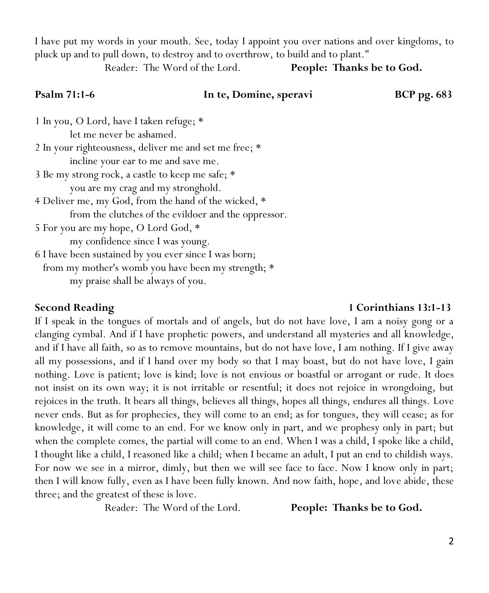I have put my words in your mouth. See, today I appoint you over nations and over kingdoms, to pluck up and to pull down, to destroy and to overthrow, to build and to plant."

Reader: The Word of the Lord. **People: Thanks be to God.**

# **Psalm 71:1-6 In te, Domine, speravi BCP pg. 683**

1 In you, O Lord, have I taken refuge; \* let me never be ashamed. 2 In your righteousness, deliver me and set me free; \* incline your ear to me and save me. 3 Be my strong rock, a castle to keep me safe; \* you are my crag and my stronghold. 4 Deliver me, my God, from the hand of the wicked, \* from the clutches of the evildoer and the oppressor. 5 For you are my hope, O Lord God, \* my confidence since I was young. 6 I have been sustained by you ever since I was born; from my mother's womb you have been my strength; \* my praise shall be always of you.

### **Second Reading 1 Corinthians 13:1-13**

If I speak in the tongues of mortals and of angels, but do not have love, I am a noisy gong or a clanging cymbal. And if I have prophetic powers, and understand all mysteries and all knowledge, and if I have all faith, so as to remove mountains, but do not have love, I am nothing. If I give away all my possessions, and if I hand over my body so that I may boast, but do not have love, I gain nothing. Love is patient; love is kind; love is not envious or boastful or arrogant or rude. It does not insist on its own way; it is not irritable or resentful; it does not rejoice in wrongdoing, but rejoices in the truth. It bears all things, believes all things, hopes all things, endures all things. Love never ends. But as for prophecies, they will come to an end; as for tongues, they will cease; as for knowledge, it will come to an end. For we know only in part, and we prophesy only in part; but when the complete comes, the partial will come to an end. When I was a child, I spoke like a child, I thought like a child, I reasoned like a child; when I became an adult, I put an end to childish ways. For now we see in a mirror, dimly, but then we will see face to face. Now I know only in part; then I will know fully, even as I have been fully known. And now faith, hope, and love abide, these three; and the greatest of these is love.

Reader: The Word of the Lord. **People: Thanks be to God.**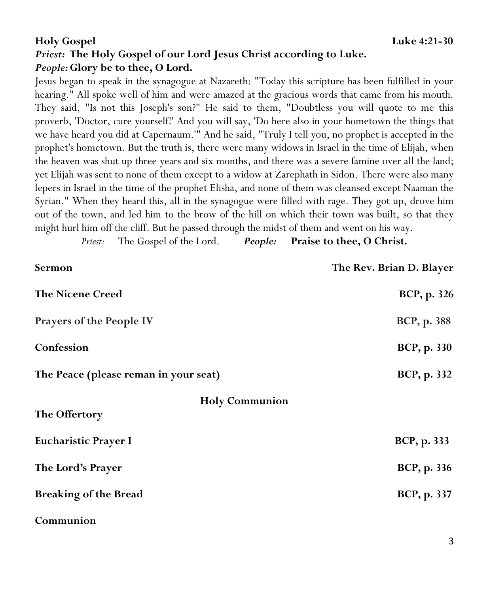## **Holy Gospel Luke 4:21-30**

# *Priest:* **The Holy Gospel of our Lord Jesus Christ according to Luke.**  *People:***Glory be to thee, O Lord.**

Jesus began to speak in the synagogue at Nazareth: "Today this scripture has been fulfilled in your hearing." All spoke well of him and were amazed at the gracious words that came from his mouth. They said, "Is not this Joseph's son?" He said to them, "Doubtless you will quote to me this proverb, 'Doctor, cure yourself!' And you will say, 'Do here also in your hometown the things that we have heard you did at Capernaum.'" And he said, "Truly I tell you, no prophet is accepted in the prophet's hometown. But the truth is, there were many widows in Israel in the time of Elijah, when the heaven was shut up three years and six months, and there was a severe famine over all the land; yet Elijah was sent to none of them except to a widow at Zarephath in Sidon. There were also many lepers in Israel in the time of the prophet Elisha, and none of them was cleansed except Naaman the Syrian." When they heard this, all in the synagogue were filled with rage. They got up, drove him out of the town, and led him to the brow of the hill on which their town was built, so that they might hurl him off the cliff. But he passed through the midst of them and went on his way.

*Priest:* The Gospel of the Lord. *People:* **Praise to thee, O Christ.**

**Sermon The Rev. Brian D. Blayer The Nicene Creed BCP, p. 326 Prayers of the People IV BCP, p.** 388 **Confession BCP, p. 330 The Peace (please reman in your seat)** BCP, p. 332 **Holy Communion The Offertory Eucharistic Prayer I BCP, p. 333 The Lord's Prayer BCP, p. 336 Breaking of the Bread BCP, p. 337 Communion**